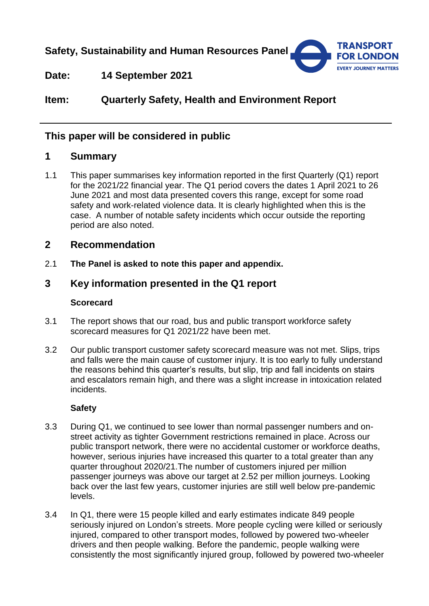**Safety, Sustainability and Human Resources Panel**



**Date: 14 September 2021**

# **Item: Quarterly Safety, Health and Environment Report**

# **This paper will be considered in public**

# **1 Summary**

1.1 This paper summarises key information reported in the first Quarterly (Q1) report for the 2021/22 financial year. The Q1 period covers the dates 1 April 2021 to 26 June 2021 and most data presented covers this range, except for some road safety and work-related violence data. It is clearly highlighted when this is the case. A number of notable safety incidents which occur outside the reporting period are also noted.

# **2 Recommendation**

2.1 **The Panel is asked to note this paper and appendix.** 

# **3 Key information presented in the Q1 report**

### **Scorecard**

- 3.1 The report shows that our road, bus and public transport workforce safety scorecard measures for Q1 2021/22 have been met.
- 3.2 Our public transport customer safety scorecard measure was not met. Slips, trips and falls were the main cause of customer injury. It is too early to fully understand the reasons behind this quarter's results, but slip, trip and fall incidents on stairs and escalators remain high, and there was a slight increase in intoxication related incidents.

### **Safety**

- 3.3 During Q1, we continued to see lower than normal passenger numbers and onstreet activity as tighter Government restrictions remained in place. Across our public transport network, there were no accidental customer or workforce deaths, however, serious injuries have increased this quarter to a total greater than any quarter throughout 2020/21.The number of customers injured per million passenger journeys was above our target at 2.52 per million journeys. Looking back over the last few years, customer injuries are still well below pre-pandemic levels.
- 3.4 In Q1, there were 15 people killed and early estimates indicate 849 people seriously injured on London's streets. More people cycling were killed or seriously injured, compared to other transport modes, followed by powered two-wheeler drivers and then people walking. Before the pandemic, people walking were consistently the most significantly injured group, followed by powered two-wheeler